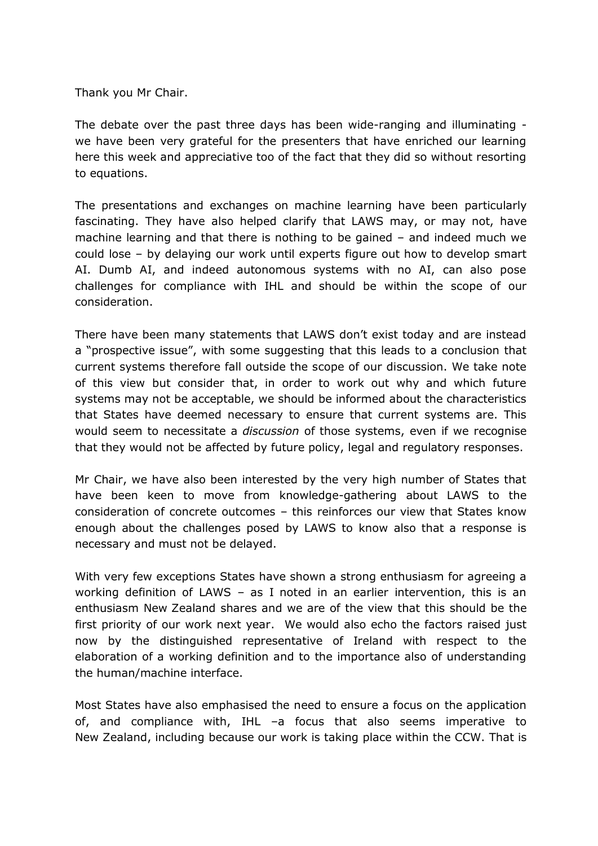Thank you Mr Chair.

The debate over the past three days has been wide-ranging and illuminating we have been very grateful for the presenters that have enriched our learning here this week and appreciative too of the fact that they did so without resorting to equations.

The presentations and exchanges on machine learning have been particularly fascinating. They have also helped clarify that LAWS may, or may not, have machine learning and that there is nothing to be gained – and indeed much we could lose – by delaying our work until experts figure out how to develop smart AI. Dumb AI, and indeed autonomous systems with no AI, can also pose challenges for compliance with IHL and should be within the scope of our consideration.

There have been many statements that LAWS don't exist today and are instead a "prospective issue", with some suggesting that this leads to a conclusion that current systems therefore fall outside the scope of our discussion. We take note of this view but consider that, in order to work out why and which future systems may not be acceptable, we should be informed about the characteristics that States have deemed necessary to ensure that current systems are. This would seem to necessitate a *discussion* of those systems, even if we recognise that they would not be affected by future policy, legal and regulatory responses.

Mr Chair, we have also been interested by the very high number of States that have been keen to move from knowledge-gathering about LAWS to the consideration of concrete outcomes – this reinforces our view that States know enough about the challenges posed by LAWS to know also that a response is necessary and must not be delayed.

With very few exceptions States have shown a strong enthusiasm for agreeing a working definition of LAWS – as I noted in an earlier intervention, this is an enthusiasm New Zealand shares and we are of the view that this should be the first priority of our work next year. We would also echo the factors raised just now by the distinguished representative of Ireland with respect to the elaboration of a working definition and to the importance also of understanding the human/machine interface.

Most States have also emphasised the need to ensure a focus on the application of, and compliance with, IHL –a focus that also seems imperative to New Zealand, including because our work is taking place within the CCW. That is